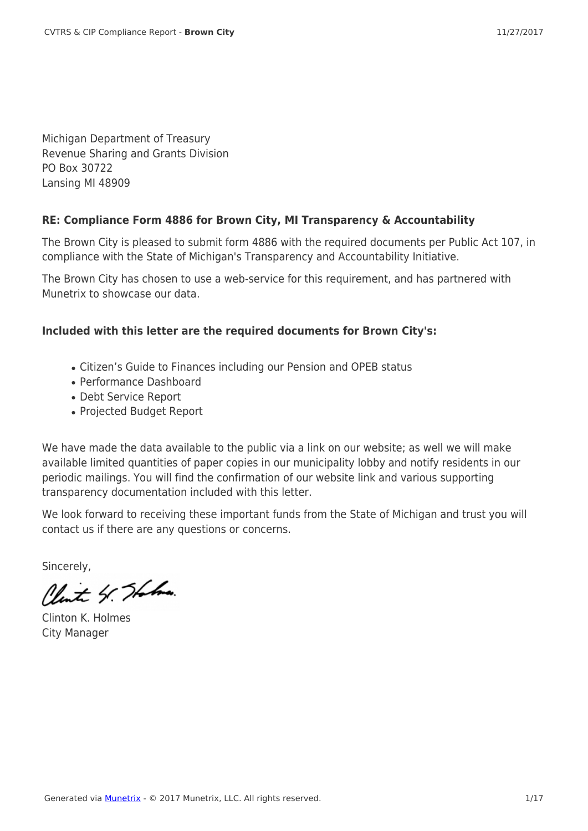Michigan Department of Treasury Revenue Sharing and Grants Division PO Box 30722 Lansing MI 48909

#### **RE: Compliance Form 4886 for Brown City, MI Transparency & Accountability**

The Brown City is pleased to submit form 4886 with the required documents per Public Act 107, in compliance with the State of Michigan's Transparency and Accountability Initiative.

The Brown City has chosen to use a web-service for this requirement, and has partnered with Munetrix to showcase our data.

#### **Included with this letter are the required documents for Brown City's:**

- Citizen's Guide to Finances including our Pension and OPEB status
- Performance Dashboard
- Debt Service Report
- Projected Budget Report

We have made the data available to the public via a link on our website; as well we will make available limited quantities of paper copies in our municipality lobby and notify residents in our periodic mailings. You will find the confirmation of our website link and various supporting transparency documentation included with this letter.

We look forward to receiving these important funds from the State of Michigan and trust you will contact us if there are any questions or concerns.

Sincerely,

Clint 4. Station

Clinton K. Holmes City Manager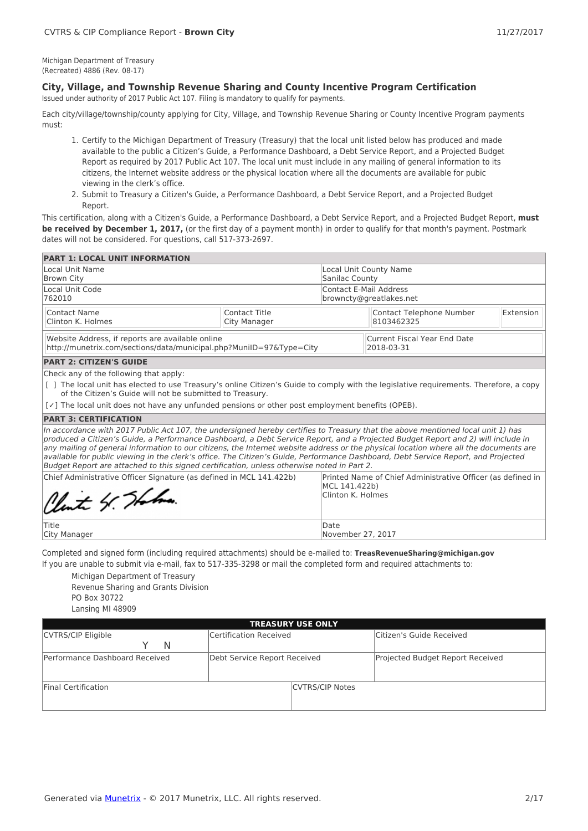Michigan Department of Treasury (Recreated) 4886 (Rev. 08-17)

#### **City, Village, and Township Revenue Sharing and County Incentive Program Certification**

Issued under authority of 2017 Public Act 107. Filing is mandatory to qualify for payments.

Each city/village/township/county applying for City, Village, and Township Revenue Sharing or County Incentive Program payments must:

- 1. Certify to the Michigan Department of Treasury (Treasury) that the local unit listed below has produced and made available to the public a Citizen's Guide, a Performance Dashboard, a Debt Service Report, and a Projected Budget Report as required by 2017 Public Act 107. The local unit must include in any mailing of general information to its citizens, the Internet website address or the physical location where all the documents are available for pubic viewing in the clerk's office.
- 2. Submit to Treasury a Citizen's Guide, a Performance Dashboard, a Debt Service Report, and a Projected Budget Report.

This certification, along with a Citizen's Guide, a Performance Dashboard, a Debt Service Report, and a Projected Budget Report, **must be received by December 1, 2017,** (or the first day of a payment month) in order to qualify for that month's payment. Postmark dates will not be considered. For questions, call 517-373-2697.

| <b>PART 1: LOCAL UNIT INFORMATION</b>                                                                                                                                                                                                                                                                                                                                                                                                                                                                                                                                                                                                            |                                    |                                                             |                                            |           |
|--------------------------------------------------------------------------------------------------------------------------------------------------------------------------------------------------------------------------------------------------------------------------------------------------------------------------------------------------------------------------------------------------------------------------------------------------------------------------------------------------------------------------------------------------------------------------------------------------------------------------------------------------|------------------------------------|-------------------------------------------------------------|--------------------------------------------|-----------|
| Local Unit Name<br><b>Brown City</b>                                                                                                                                                                                                                                                                                                                                                                                                                                                                                                                                                                                                             |                                    | Sanilac County                                              | <b>Local Unit County Name</b>              |           |
| Local Unit Code<br>762010                                                                                                                                                                                                                                                                                                                                                                                                                                                                                                                                                                                                                        |                                    | <b>Contact E-Mail Address</b>                               | browncty@greatlakes.net                    |           |
| Contact Name<br>Clinton K. Holmes                                                                                                                                                                                                                                                                                                                                                                                                                                                                                                                                                                                                                | Contact Title<br>City Manager      |                                                             | Contact Telephone Number<br>8103462325     | Extension |
| Website Address, if reports are available online<br>http://munetrix.com/sections/data/municipal.php?MuniID=97&Type=City                                                                                                                                                                                                                                                                                                                                                                                                                                                                                                                          |                                    |                                                             | Current Fiscal Year End Date<br>2018-03-31 |           |
| <b>PART 2: CITIZEN'S GUIDE</b>                                                                                                                                                                                                                                                                                                                                                                                                                                                                                                                                                                                                                   |                                    |                                                             |                                            |           |
| [ ] The local unit has elected to use Treasury's online Citizen's Guide to comply with the legislative requirements. Therefore, a copy<br>of the Citizen's Guide will not be submitted to Treasury.<br>$[\checkmark]$ The local unit does not have any unfunded pensions or other post employment benefits (OPEB).                                                                                                                                                                                                                                                                                                                               |                                    |                                                             |                                            |           |
| <b>PART 3: CERTIFICATION</b>                                                                                                                                                                                                                                                                                                                                                                                                                                                                                                                                                                                                                     |                                    |                                                             |                                            |           |
| In accordance with 2017 Public Act 107, the undersigned hereby certifies to Treasury that the above mentioned local unit 1) has<br>produced a Citizen's Guide, a Performance Dashboard, a Debt Service Report, and a Projected Budget Report and 2) will include in<br>any mailing of general information to our citizens, the Internet website address or the physical location where all the documents are<br>available for public viewing in the clerk's office. The Citizen's Guide, Performance Dashboard, Debt Service Report, and Projected<br>Budget Report are attached to this signed certification, unless otherwise noted in Part 2. |                                    |                                                             |                                            |           |
| Chief Administrative Officer Signature (as defined in MCL 141.422b)<br>Clint 4. Thomas                                                                                                                                                                                                                                                                                                                                                                                                                                                                                                                                                           | MCL 141.422b)<br>Clinton K. Holmes | Printed Name of Chief Administrative Officer (as defined in |                                            |           |
| Title<br>City Manager                                                                                                                                                                                                                                                                                                                                                                                                                                                                                                                                                                                                                            |                                    |                                                             | November 27, 2017                          |           |

City Manager

Completed and signed form (including required attachments) should be e-mailed to: **TreasRevenueSharing@michigan.gov** If you are unable to submit via e-mail, fax to 517-335-3298 or mail the completed form and required attachments to:

Michigan Department of Treasury Revenue Sharing and Grants Division PO Box 30722 Lansing MI 48909

| <b>TREASURY USE ONLY</b>       |                              |                        |                                  |  |  |  |  |  |  |
|--------------------------------|------------------------------|------------------------|----------------------------------|--|--|--|--|--|--|
| CVTRS/CIP Eligible             | Certification Received       |                        | Citizen's Guide Received         |  |  |  |  |  |  |
| N                              |                              |                        |                                  |  |  |  |  |  |  |
| Performance Dashboard Received | Debt Service Report Received |                        | Projected Budget Report Received |  |  |  |  |  |  |
|                                |                              |                        |                                  |  |  |  |  |  |  |
| <b>Final Certification</b>     |                              | <b>CVTRS/CIP Notes</b> |                                  |  |  |  |  |  |  |
|                                |                              |                        |                                  |  |  |  |  |  |  |
|                                |                              |                        |                                  |  |  |  |  |  |  |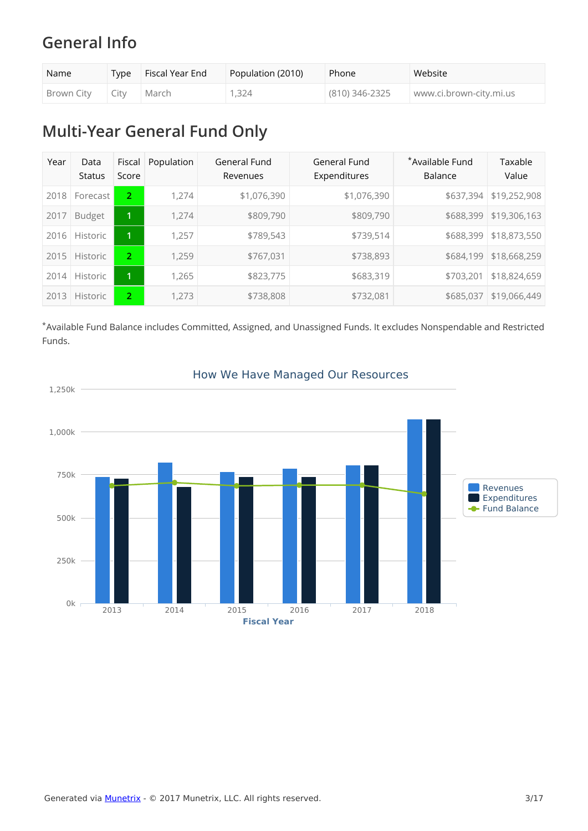# **General Info**

| Name              | T <sub>vpe</sub> | Fiscal Year End | Population (2010) | Phone          | Website                 |
|-------------------|------------------|-----------------|-------------------|----------------|-------------------------|
| Brown City   City |                  | March           | 1,324             | (810) 346-2325 | www.ci.brown-city.mi.us |

# **Multi-Year General Fund Only**

| Year     | Data<br><b>Status</b> | Fiscal<br>Score      | Population | General Fund<br>Revenues | General Fund<br>Expenditures | *Available Fund<br>Balance | Taxable<br>Value |
|----------|-----------------------|----------------------|------------|--------------------------|------------------------------|----------------------------|------------------|
| 2018     | Forecast              | $\overline{2}$       | 1.274      | \$1,076,390              | \$1,076,390                  | \$637,394                  | \$19,252,908     |
| 2017     | <b>Budget</b>         | $\mathbf{1}$         | 1.274      | \$809,790                | \$809,790                    | \$688,399                  | \$19,306,163     |
| 2016     | <b>Historic</b>       | 1                    | 1.257      | \$789,543                | \$739,514                    | \$688,399                  | \$18,873,550     |
| 2015     | <b>Historic</b>       | 2                    | 1.259      | \$767,031                | \$738,893                    | \$684,199                  | \$18,668,259     |
| 2014     | <b>Historic</b>       | $\mathbf{1}$         | 1,265      | \$823,775                | \$683,319                    | \$703,201                  | \$18,824,659     |
| 3<br>201 | <b>Historic</b>       | $\mathbf{2}^{\circ}$ | 1,273      | \$738,808                | \$732,081                    | \$685,037                  | \$19,066,449     |

\*Available Fund Balance includes Committed, Assigned, and Unassigned Funds. It excludes Nonspendable and Restricted Funds.



#### How We Have Managed Our Resources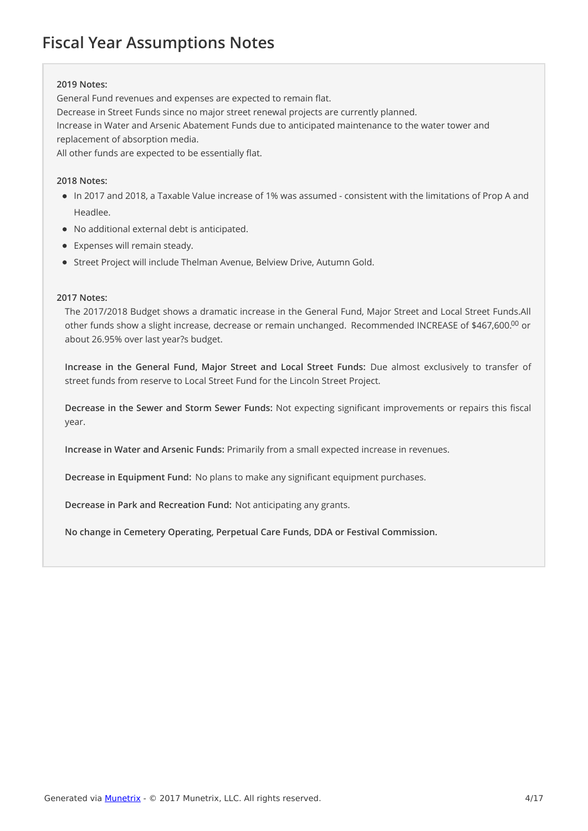# **Fiscal Year Assumptions Notes**

#### **2019 Notes:**

General Fund revenues and expenses are expected to remain flat.

Decrease in Street Funds since no major street renewal projects are currently planned.

Increase in Water and Arsenic Abatement Funds due to anticipated maintenance to the water tower and replacement of absorption media.

All other funds are expected to be essentially flat.

#### **2018 Notes:**

- In 2017 and 2018, a Taxable Value increase of 1% was assumed consistent with the limitations of Prop A and Headlee.
- No additional external debt is anticipated.
- Expenses will remain steady.
- Street Project will include Thelman Avenue, Belview Drive, Autumn Gold.

#### **2017 Notes:**

The 2017/2018 Budget shows a dramatic increase in the General Fund, Major Street and Local Street Funds.All other funds show a slight increase, decrease or remain unchanged. Recommended INCREASE of \$467,600. $^{00}$  or about 26.95% over last year?s budget.

**Increase in the General Fund, Major Street and Local Street Funds:** Due almost exclusively to transfer of street funds from reserve to Local Street Fund for the Lincoln Street Project.

**Decrease in the Sewer and Storm Sewer Funds:** Not expecting significant improvements or repairs this fiscal year.

**Increase in Water and Arsenic Funds:** Primarily from a small expected increase in revenues.

**Decrease in Equipment Fund:** No plans to make any significant equipment purchases.

**Decrease in Park and Recreation Fund:** Not anticipating any grants.

**No change in Cemetery Operating, Perpetual Care Funds, DDA or Festival Commission.**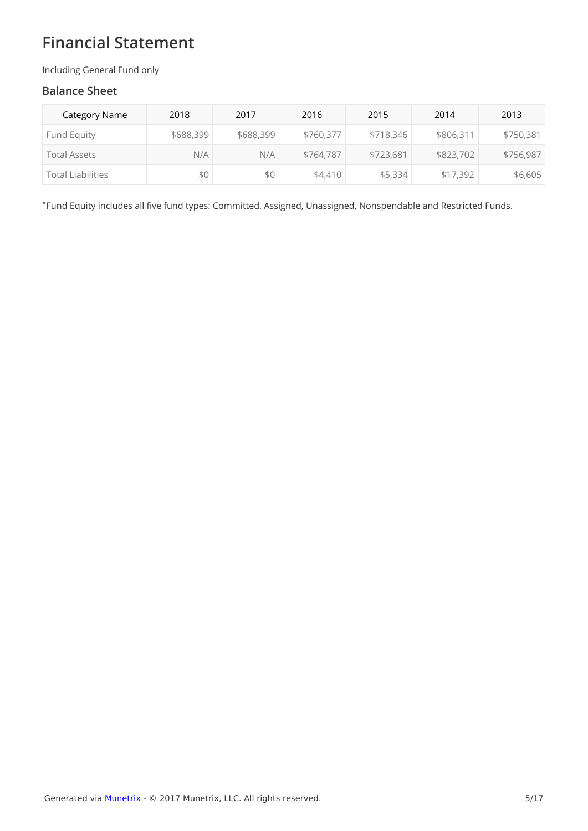# **Financial Statement**

Including General Fund only

#### **Balance Sheet**

| Category Name       | 2018      | 2017      | 2016      | 2015      | 2014      | 2013      |
|---------------------|-----------|-----------|-----------|-----------|-----------|-----------|
| Fund Equity         | \$688,399 | \$688,399 | \$760,377 | \$718,346 | \$806,311 | \$750,381 |
| <b>Total Assets</b> | N/A       | N/A       | \$764,787 | \$723,681 | \$823,702 | \$756,987 |
| Total Liabilities   | \$0       | \$0       | \$4,410   | \$5,334   | \$17,392  | \$6,605   |

Fund Equity includes all five fund types: Committed, Assigned, Unassigned, Nonspendable and Restricted Funds. \*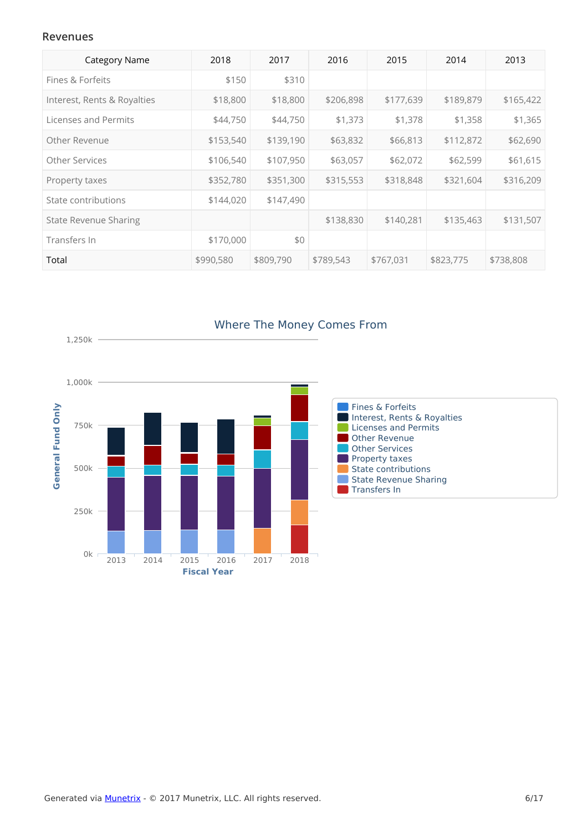#### **Revenues**

| <b>Category Name</b>         | 2018      | 2017      | 2016      | 2015      | 2014      | 2013      |
|------------------------------|-----------|-----------|-----------|-----------|-----------|-----------|
| Fines & Forfeits             | \$150     | \$310     |           |           |           |           |
| Interest, Rents & Royalties  | \$18,800  | \$18,800  | \$206,898 | \$177,639 | \$189,879 | \$165,422 |
| Licenses and Permits         | \$44,750  | \$44,750  | \$1,373   | \$1,378   | \$1,358   | \$1,365   |
| Other Revenue                | \$153,540 | \$139,190 | \$63,832  | \$66,813  | \$112,872 | \$62,690  |
| Other Services               | \$106,540 | \$107,950 | \$63,057  | \$62,072  | \$62,599  | \$61,615  |
| Property taxes               | \$352,780 | \$351,300 | \$315,553 | \$318,848 | \$321,604 | \$316,209 |
| State contributions          | \$144,020 | \$147,490 |           |           |           |           |
| <b>State Revenue Sharing</b> |           |           | \$138,830 | \$140,281 | \$135,463 | \$131,507 |
| Transfers In                 | \$170,000 | \$0       |           |           |           |           |
| Total                        | \$990,580 | \$809,790 | \$789,543 | \$767,031 | \$823,775 | \$738,808 |



### Where The Money Comes From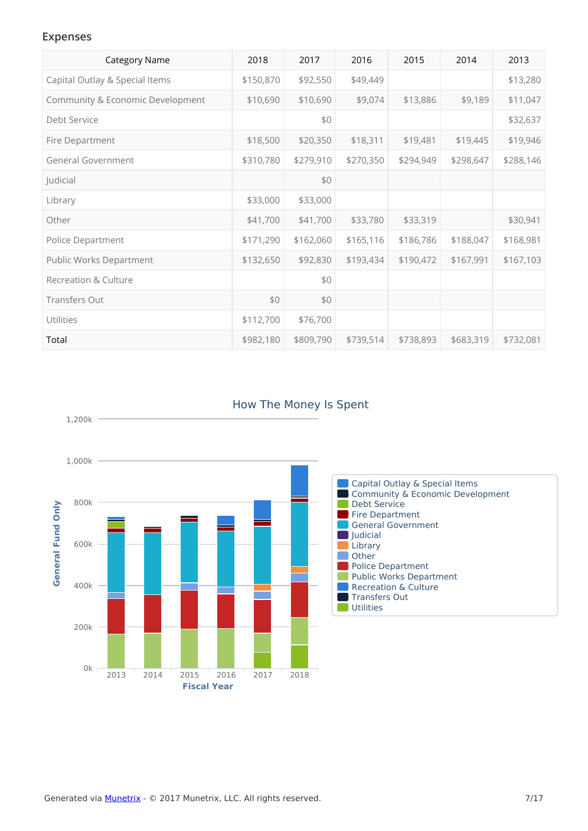#### **Expenses**

1,200k

| <b>Category Name</b>             | 2018      | 2017      | 2016      | 2015      | 2014      | 2013      |
|----------------------------------|-----------|-----------|-----------|-----------|-----------|-----------|
| Capital Outlay & Special Items   | \$150,870 | \$92,550  | \$49,449  |           |           | \$13,280  |
| Community & Economic Development | \$10,690  | \$10,690  | \$9,074   | \$13,886  | \$9,189   | \$11,047  |
| Debt Service                     |           | \$0       |           |           |           | \$32,637  |
| Fire Department                  | \$18,500  | \$20,350  | \$18,311  | \$19,481  | \$19,445  | \$19,946  |
| General Government               | \$310,780 | \$279,910 | \$270,350 | \$294,949 | \$298,647 | \$288,146 |
| Judicial                         |           | \$0       |           |           |           |           |
| Library                          | \$33,000  | \$33,000  |           |           |           |           |
| Other                            | \$41,700  | \$41,700  | \$33,780  | \$33,319  |           | \$30,941  |
| Police Department                | \$171,290 | \$162,060 | \$165,116 | \$186,786 | \$188,047 | \$168,981 |
| Public Works Department          | \$132,650 | \$92,830  | \$193,434 | \$190,472 | \$167,991 | \$167,103 |
| <b>Recreation &amp; Culture</b>  |           | \$0       |           |           |           |           |
| <b>Transfers Out</b>             | \$0       | \$0       |           |           |           |           |
| Utilities                        | \$112,700 | \$76,700  |           |           |           |           |
| Total                            | \$982,180 | \$809,790 | \$739,514 | \$738,893 | \$683,319 | \$732,081 |



### How The Money Is Spent

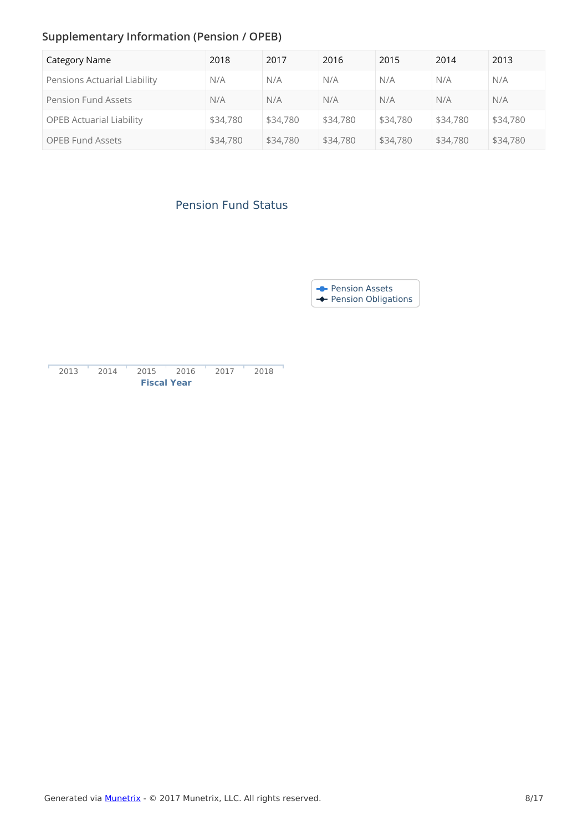# **Supplementary Information (Pension / OPEB)**

| Category Name                   | 2018     | 2017     | 2016     | 2015     | 2014     | 2013     |
|---------------------------------|----------|----------|----------|----------|----------|----------|
| Pensions Actuarial Liability    | N/A      | N/A      | N/A      | N/A      | N/A      | N/A      |
| <b>Pension Fund Assets</b>      | N/A      | N/A      | N/A      | N/A      | N/A      | N/A      |
| <b>OPEB Actuarial Liability</b> | \$34,780 | \$34,780 | \$34,780 | \$34,780 | \$34,780 | \$34,780 |
| <b>OPEB Fund Assets</b>         | \$34,780 | \$34,780 | \$34,780 | \$34,780 | \$34,780 | \$34,780 |

## Pension Fund Status

Pension Assets Pension Obligations

| 2013 | 2014 | 2015               | 2016 | 2017 | 2018 |
|------|------|--------------------|------|------|------|
|      |      | <b>Fiscal Year</b> |      |      |      |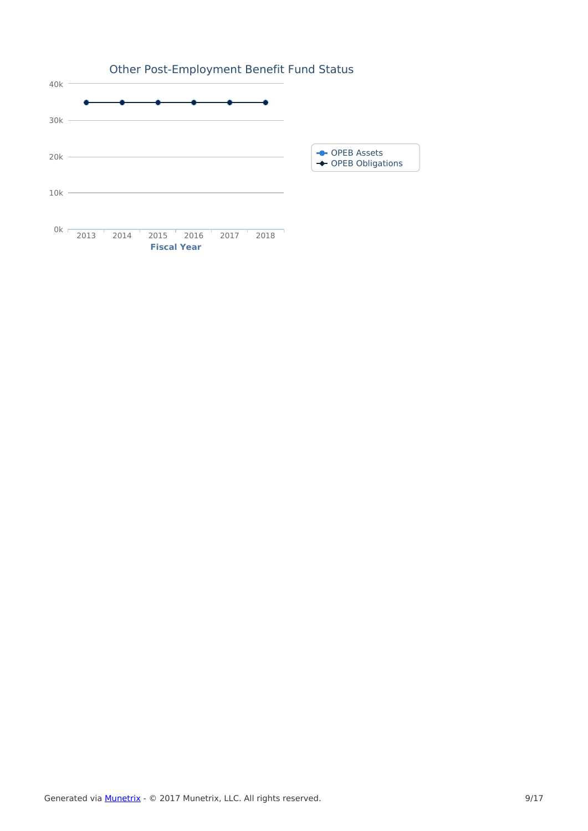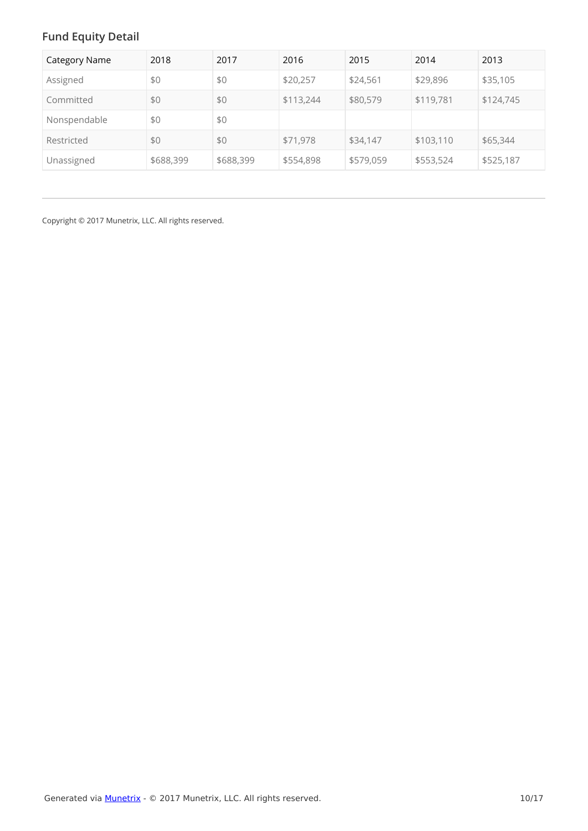# **Fund Equity Detail**

| <b>Category Name</b> | 2018      | 2017      | 2016      | 2015      | 2014      | 2013      |
|----------------------|-----------|-----------|-----------|-----------|-----------|-----------|
| Assigned             | \$0       | \$0       | \$20,257  | \$24,561  | \$29,896  | \$35,105  |
| Committed            | \$0       | \$0       | \$113,244 | \$80,579  | \$119,781 | \$124,745 |
| Nonspendable         | \$0       | \$0       |           |           |           |           |
| Restricted           | \$0       | \$0       | \$71,978  | \$34,147  | \$103,110 | \$65,344  |
| Unassigned           | \$688,399 | \$688,399 | \$554,898 | \$579,059 | \$553,524 | \$525,187 |

Copyright © 2017 Munetrix, LLC. All rights reserved.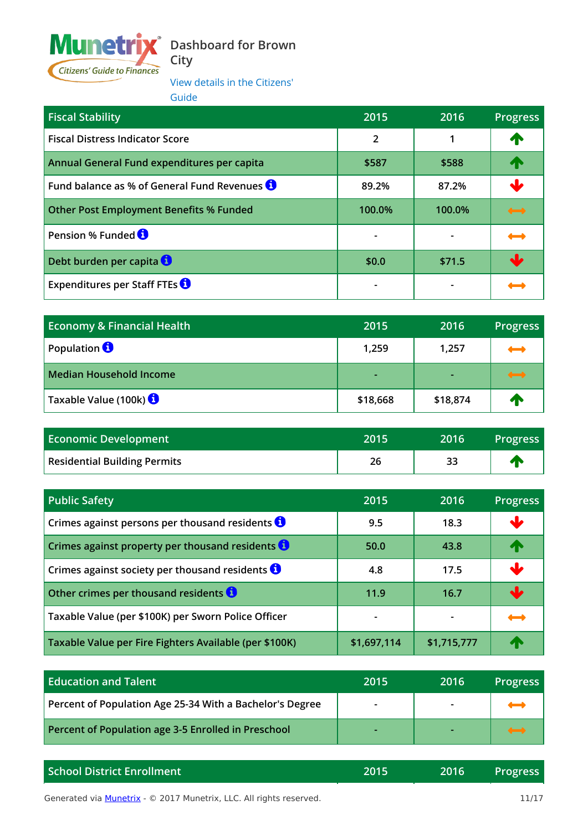

# **Dashboard for Brown**

**City**

View details in the Citizens' Guide

| <b>Fiscal Stability</b>                             | 2015           | 2016   | <b>Progress</b>   |
|-----------------------------------------------------|----------------|--------|-------------------|
| <b>Fiscal Distress Indicator Score</b>              | $\overline{2}$ |        | 小                 |
| Annual General Fund expenditures per capita         | \$587          | \$588  |                   |
| Fund balance as % of General Fund Revenues <b>O</b> | 89.2%          | 87.2%  |                   |
| <b>Other Post Employment Benefits % Funded</b>      | 100.0%         | 100.0% | $\longrightarrow$ |
| Pension % Funded <b>O</b>                           |                |        | $\longrightarrow$ |
| Debt burden per capita                              | \$0.0          | \$71.5 |                   |
| Expenditures per Staff FTEs $\bigcirc$              |                |        |                   |

| <b>Economy &amp; Financial Health</b> | 2015     | 2016     | <b>Progress</b>          |
|---------------------------------------|----------|----------|--------------------------|
| Population <b>O</b>                   | 1,259    | 1,257    | $\overline{\phantom{a}}$ |
| Median Household Income               | ٠        |          | $\longrightarrow$        |
| Taxable Value (100k)                  | \$18,668 | \$18,874 | Æ                        |

| <b>Economic Development</b>         | 2015 | 2016 | Progress |
|-------------------------------------|------|------|----------|
| <b>Residential Building Permits</b> | 26   |      |          |

| <b>Public Safety</b>                                           | 2015        | 2016        | <b>Progress</b>          |
|----------------------------------------------------------------|-------------|-------------|--------------------------|
| Crimes against persons per thousand residents $\bullet$        | 9.5         | 18.3        | $\mathbf \cdot$          |
| Crimes against property per thousand residents $\theta$        | 50.0        | 43.8        | 个                        |
| Crimes against society per thousand residents $\mathbf \Theta$ | 4.8         | 17.5        | $\mathbf{L}$             |
| Other crimes per thousand residents <b>O</b>                   | 11.9        | 16.7        | $\ddot{\phantom{0}}$     |
| Taxable Value (per \$100K) per Sworn Police Officer            |             |             | $\overline{\phantom{a}}$ |
| Taxable Value per Fire Fighters Available (per \$100K)         | \$1,697,114 | \$1,715,777 | Æ                        |

| <b>Education and Talent</b>                              | 2015                     | 2016 | <b>Progress</b> |
|----------------------------------------------------------|--------------------------|------|-----------------|
| Percent of Population Age 25-34 With a Bachelor's Degree | $\overline{\phantom{a}}$ |      |                 |
| Percent of Population age 3-5 Enrolled in Preschool      |                          |      |                 |

| <b>School District Enrollment</b> | 2015 | 2016 | <b>Progress</b> |
|-----------------------------------|------|------|-----------------|
|                                   |      |      |                 |

**Brown Community Browna Community Browna Community Community Community Browna 11/17 11/17**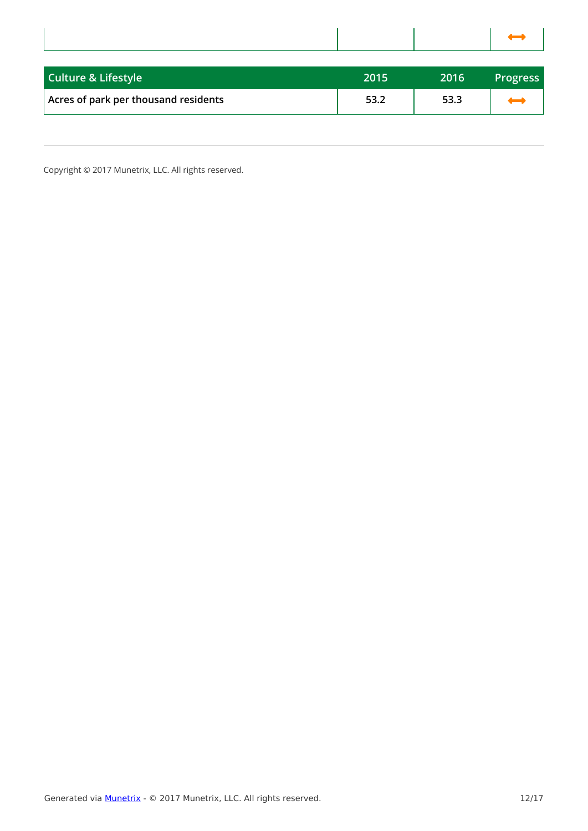| <b>Contract Contract Contract Contract Contract Contract Contract Contract Contract Contract Contract Contract C</b><br>and the state of the state of the state of the state of the state of the state of the state of the state of th |  |
|----------------------------------------------------------------------------------------------------------------------------------------------------------------------------------------------------------------------------------------|--|
|                                                                                                                                                                                                                                        |  |
|                                                                                                                                                                                                                                        |  |

| <b>Culture &amp; Lifestyle</b>       | 2015 | 2016 | <b>Progress</b> |
|--------------------------------------|------|------|-----------------|
| Acres of park per thousand residents | 53.2 | 53.3 |                 |

Copyright © 2017 Munetrix, LLC. All rights reserved.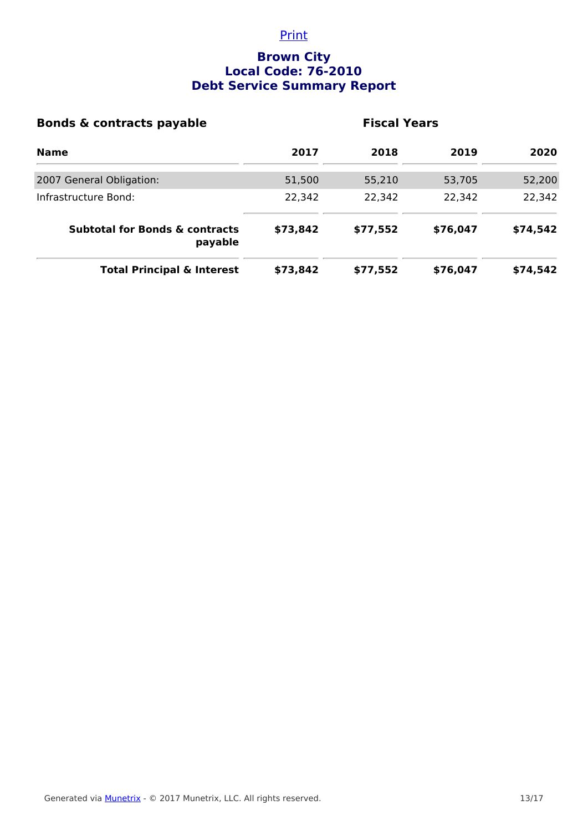### **Print**

## **Brown City Local Code: 76-2010 Debt Service Summary Report**

| <b>Bonds &amp; contracts payable</b>                 | <b>Fiscal Years</b> |          |          |          |  |
|------------------------------------------------------|---------------------|----------|----------|----------|--|
| <b>Name</b>                                          | 2017                | 2018     | 2019     | 2020     |  |
| 2007 General Obligation:                             | 51,500              | 55,210   | 53,705   | 52,200   |  |
| Infrastructure Bond:                                 | 22,342              | 22,342   | 22,342   | 22,342   |  |
| <b>Subtotal for Bonds &amp; contracts</b><br>payable | \$73,842            | \$77,552 | \$76,047 | \$74,542 |  |
| <b>Total Principal &amp; Interest</b>                | \$73,842            | \$77,552 | \$76,047 | \$74,542 |  |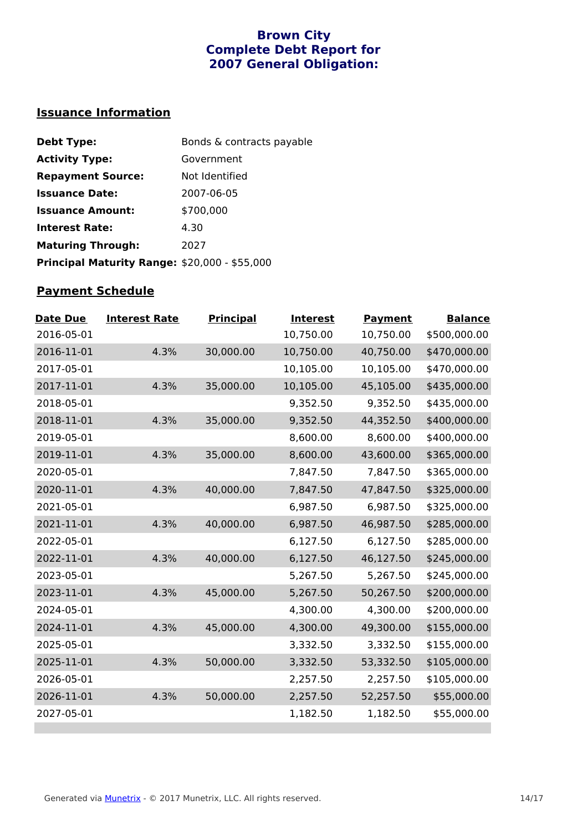### **Brown City Complete Debt Report for 2007 General Obligation:**

# **Issuance Information**

| <b>Debt Type:</b>                                    | Bonds & contracts payable |
|------------------------------------------------------|---------------------------|
| <b>Activity Type:</b>                                | Government                |
| <b>Repayment Source:</b>                             | Not Identified            |
| <b>Issuance Date:</b>                                | 2007-06-05                |
| <b>Issuance Amount:</b>                              | \$700,000                 |
| <b>Interest Rate:</b>                                | 4.30                      |
| <b>Maturing Through:</b>                             | 2027                      |
| <b>Principal Maturity Range: \$20,000 - \$55,000</b> |                           |

# **Payment Schedule**

| Date Due   | <b>Interest Rate</b> | <b>Principal</b> | <b>Interest</b> | <b>Payment</b> | <b>Balance</b> |
|------------|----------------------|------------------|-----------------|----------------|----------------|
| 2016-05-01 |                      |                  | 10,750.00       | 10,750.00      | \$500,000.00   |
| 2016-11-01 | 4.3%                 | 30,000.00        | 10,750.00       | 40,750.00      | \$470,000.00   |
| 2017-05-01 |                      |                  | 10,105.00       | 10,105.00      | \$470,000.00   |
| 2017-11-01 | 4.3%                 | 35,000.00        | 10,105.00       | 45,105.00      | \$435,000.00   |
| 2018-05-01 |                      |                  | 9,352.50        | 9,352.50       | \$435,000.00   |
| 2018-11-01 | 4.3%                 | 35,000.00        | 9,352.50        | 44,352.50      | \$400,000.00   |
| 2019-05-01 |                      |                  | 8,600.00        | 8,600.00       | \$400,000.00   |
| 2019-11-01 | 4.3%                 | 35,000.00        | 8,600.00        | 43,600.00      | \$365,000.00   |
| 2020-05-01 |                      |                  | 7,847.50        | 7,847.50       | \$365,000.00   |
| 2020-11-01 | 4.3%                 | 40,000.00        | 7,847.50        | 47,847.50      | \$325,000.00   |
| 2021-05-01 |                      |                  | 6,987.50        | 6,987.50       | \$325,000.00   |
| 2021-11-01 | 4.3%                 | 40,000.00        | 6,987.50        | 46,987.50      | \$285,000.00   |
| 2022-05-01 |                      |                  | 6,127.50        | 6,127.50       | \$285,000.00   |
| 2022-11-01 | 4.3%                 | 40,000.00        | 6,127.50        | 46,127.50      | \$245,000.00   |
| 2023-05-01 |                      |                  | 5,267.50        | 5,267.50       | \$245,000.00   |
| 2023-11-01 | 4.3%                 | 45,000.00        | 5,267.50        | 50,267.50      | \$200,000.00   |
| 2024-05-01 |                      |                  | 4,300.00        | 4,300.00       | \$200,000.00   |
| 2024-11-01 | 4.3%                 | 45,000.00        | 4,300.00        | 49,300.00      | \$155,000.00   |
| 2025-05-01 |                      |                  | 3,332.50        | 3,332.50       | \$155,000.00   |
| 2025-11-01 | 4.3%                 | 50,000.00        | 3,332.50        | 53,332.50      | \$105,000.00   |
| 2026-05-01 |                      |                  | 2,257.50        | 2,257.50       | \$105,000.00   |
| 2026-11-01 | 4.3%                 | 50,000.00        | 2,257.50        | 52,257.50      | \$55,000.00    |
| 2027-05-01 |                      |                  | 1,182.50        | 1,182.50       | \$55,000.00    |
|            |                      |                  |                 |                |                |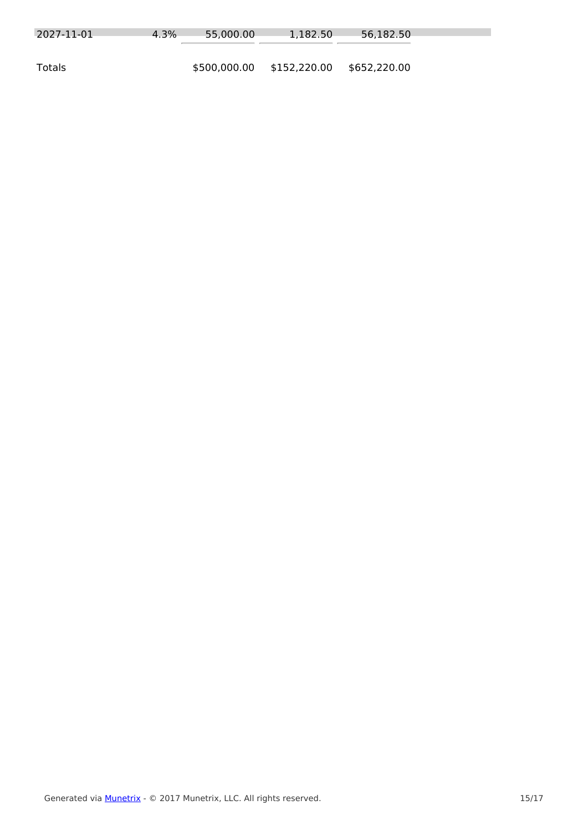| 2027-11-01 | 4.3% | 55,000.00    | 1.182.50     | 56,182.50    |
|------------|------|--------------|--------------|--------------|
| Totals     |      | \$500,000.00 | \$152,220.00 | \$652,220.00 |